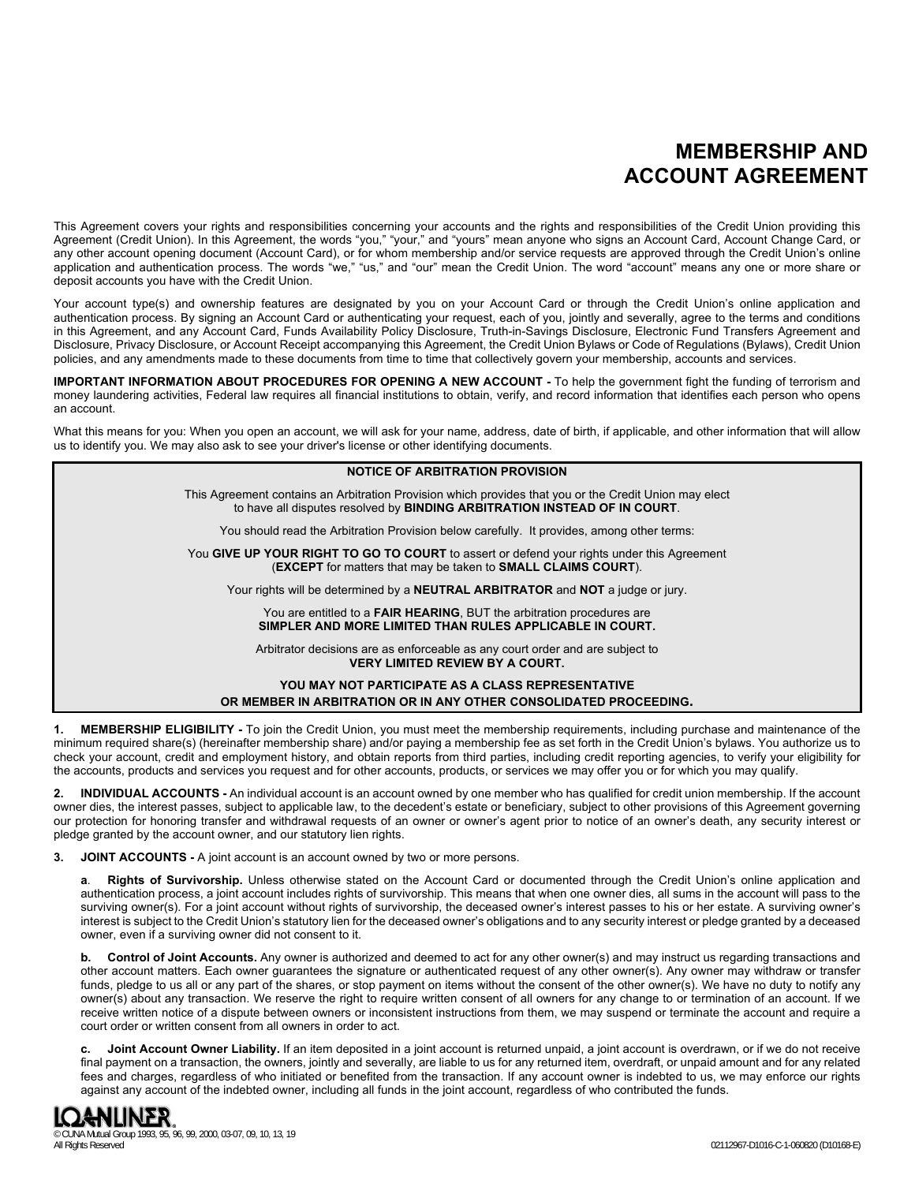# **MEMBERSHIP AND ACCOUNT AGREEMENT**

This Agreement covers your rights and responsibilities concerning your accounts and the rights and responsibilities of the Credit Union providing this Agreement (Credit Union). In this Agreement, the words "you," "your," and "yours" mean anyone who signs an Account Card, Account Change Card, or any other account opening document (Account Card), or for whom membership and/or service requests are approved through the Credit Union's online application and authentication process. The words "we," "us," and "our" mean the Credit Union. The word "account" means any one or more share or deposit accounts you have with the Credit Union.

Your account type(s) and ownership features are designated by you on your Account Card or through the Credit Union's online application and authentication process. By signing an Account Card or authenticating your request, each of you, jointly and severally, agree to the terms and conditions in this Agreement, and any Account Card, Funds Availability Policy Disclosure, Truth-in-Savings Disclosure, Electronic Fund Transfers Agreement and Disclosure, Privacy Disclosure, or Account Receipt accompanying this Agreement, the Credit Union Bylaws or Code of Regulations (Bylaws), Credit Union policies, and any amendments made to these documents from time to time that collectively govern your membership, accounts and services.

**IMPORTANT INFORMATION ABOUT PROCEDURES FOR OPENING A NEW ACCOUNT -** To help the government fight the funding of terrorism and money laundering activities, Federal law requires all financial institutions to obtain, verify, and record information that identifies each person who opens an account.

What this means for you: When you open an account, we will ask for your name, address, date of birth, if applicable, and other information that will allow us to identify you. We may also ask to see your driver's license or other identifying documents.

| <b>NOTICE OF ARBITRATION PROVISION</b>                                                                                                                                                      |  |
|---------------------------------------------------------------------------------------------------------------------------------------------------------------------------------------------|--|
| This Agreement contains an Arbitration Provision which provides that you or the Credit Union may elect<br>to have all disputes resolved by <b>BINDING ARBITRATION INSTEAD OF IN COURT</b> . |  |
| You should read the Arbitration Provision below carefully. It provides, among other terms:                                                                                                  |  |
| You GIVE UP YOUR RIGHT TO GO TO COURT to assert or defend your rights under this Agreement<br>(EXCEPT for matters that may be taken to SMALL CLAIMS COURT).                                 |  |
| Your rights will be determined by a <b>NEUTRAL ARBITRATOR</b> and <b>NOT</b> a judge or jury.                                                                                               |  |
| You are entitled to a <b>FAIR HEARING</b> , BUT the arbitration procedures are<br>SIMPLER AND MORE LIMITED THAN RULES APPLICABLE IN COURT.                                                  |  |
| Arbitrator decisions are as enforceable as any court order and are subject to<br><b>VERY LIMITED REVIEW BY A COURT.</b>                                                                     |  |
| YOU MAY NOT PARTICIPATE AS A CLASS REPRESENTATIVE<br>OR MEMBER IN ARBITRATION OR IN ANY OTHER CONSOLIDATED PROCEEDING.                                                                      |  |

**1. MEMBERSHIP ELIGIBILITY -** To join the Credit Union, you must meet the membership requirements, including purchase and maintenance of the minimum required share(s) (hereinafter membership share) and/or paying a membership fee as set forth in the Credit Union's bylaws. You authorize us to check your account, credit and employment history, and obtain reports from third parties, including credit reporting agencies, to verify your eligibility for the accounts, products and services you request and for other accounts, products, or services we may offer you or for which you may qualify.

**2. INDIVIDUAL ACCOUNTS -** An individual account is an account owned by one member who has qualified for credit union membership. If the account owner dies, the interest passes, subject to applicable law, to the decedent's estate or beneficiary, subject to other provisions of this Agreement governing our protection for honoring transfer and withdrawal requests of an owner or owner's agent prior to notice of an owner's death, any security interest or pledge granted by the account owner, and our statutory lien rights.

**3. JOINT ACCOUNTS -** A joint account is an account owned by two or more persons.

**a**. **Rights of Survivorship.** Unless otherwise stated on the Account Card or documented through the Credit Union's online application and authentication process, a joint account includes rights of survivorship. This means that when one owner dies, all sums in the account will pass to the surviving owner(s). For a joint account without rights of survivorship, the deceased owner's interest passes to his or her estate. A surviving owner's interest is subject to the Credit Union's statutory lien for the deceased owner's obligations and to any security interest or pledge granted by a deceased owner, even if a surviving owner did not consent to it.

**b. Control of Joint Accounts.** Any owner is authorized and deemed to act for any other owner(s) and may instruct us regarding transactions and other account matters. Each owner guarantees the signature or authenticated request of any other owner(s). Any owner may withdraw or transfer funds, pledge to us all or any part of the shares, or stop payment on items without the consent of the other owner(s). We have no duty to notify any owner(s) about any transaction. We reserve the right to require written consent of all owners for any change to or termination of an account. If we receive written notice of a dispute between owners or inconsistent instructions from them, we may suspend or terminate the account and require a court order or written consent from all owners in order to act.

**c. Joint Account Owner Liability.** If an item deposited in a joint account is returned unpaid, a joint account is overdrawn, or if we do not receive final payment on a transaction, the owners, jointly and severally, are liable to us for any returned item, overdraft, or unpaid amount and for any related fees and charges, regardless of who initiated or benefited from the transaction. If any account owner is indebted to us, we may enforce our rights against any account of the indebted owner, including all funds in the joint account, regardless of who contributed the funds.

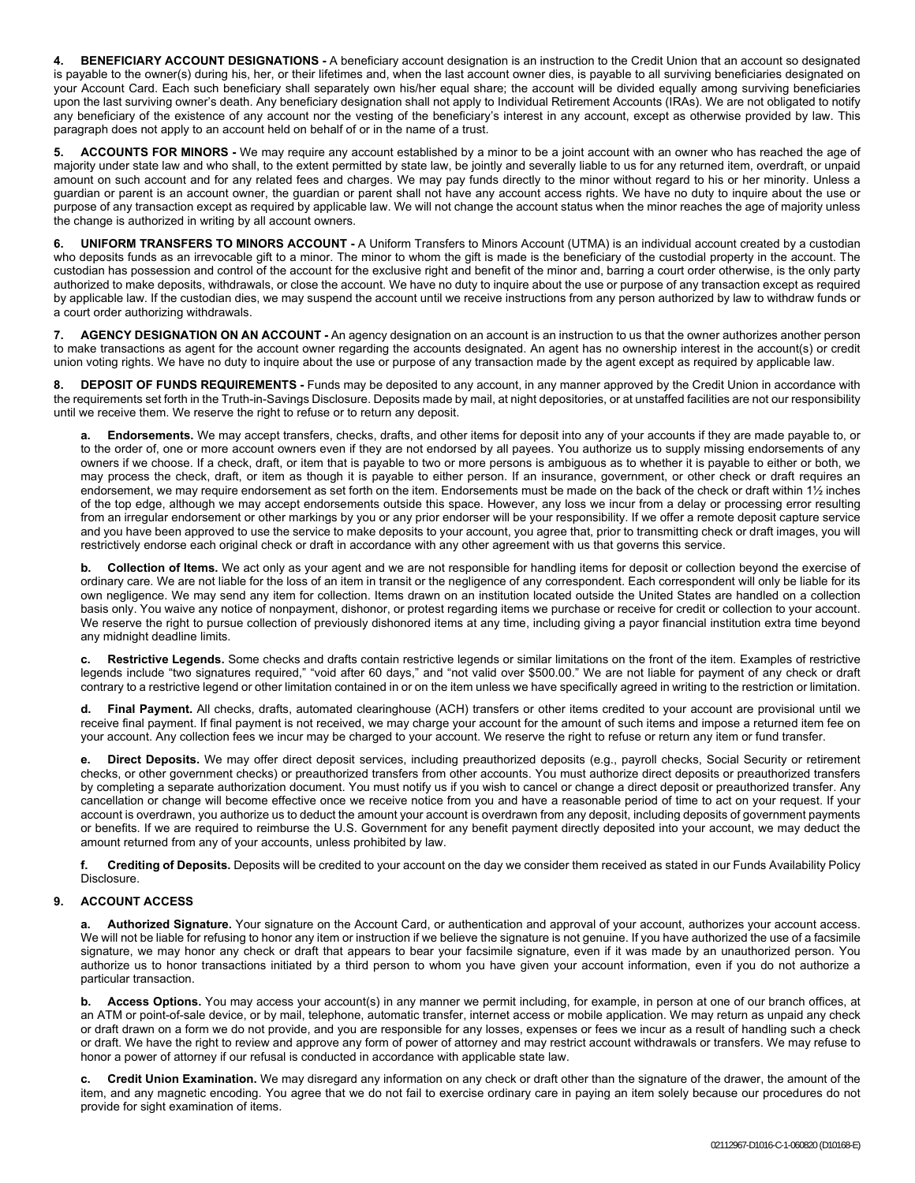**4. BENEFICIARY ACCOUNT DESIGNATIONS -** A beneficiary account designation is an instruction to the Credit Union that an account so designated is payable to the owner(s) during his, her, or their lifetimes and, when the last account owner dies, is payable to all surviving beneficiaries designated on your Account Card. Each such beneficiary shall separately own his/her equal share; the account will be divided equally among surviving beneficiaries upon the last surviving owner's death. Any beneficiary designation shall not apply to Individual Retirement Accounts (IRAs). We are not obligated to notify any beneficiary of the existence of any account nor the vesting of the beneficiary's interest in any account, except as otherwise provided by law. This paragraph does not apply to an account held on behalf of or in the name of a trust.

**5. ACCOUNTS FOR MINORS -** We may require any account established by a minor to be a joint account with an owner who has reached the age of majority under state law and who shall, to the extent permitted by state law, be jointly and severally liable to us for any returned item, overdraft, or unpaid amount on such account and for any related fees and charges. We may pay funds directly to the minor without regard to his or her minority. Unless a guardian or parent is an account owner, the guardian or parent shall not have any account access rights. We have no duty to inquire about the use or purpose of any transaction except as required by applicable law. We will not change the account status when the minor reaches the age of majority unless the change is authorized in writing by all account owners.

**6. UNIFORM TRANSFERS TO MINORS ACCOUNT -** A Uniform Transfers to Minors Account (UTMA) is an individual account created by a custodian who deposits funds as an irrevocable gift to a minor. The minor to whom the gift is made is the beneficiary of the custodial property in the account. The custodian has possession and control of the account for the exclusive right and benefit of the minor and, barring a court order otherwise, is the only party authorized to make deposits, withdrawals, or close the account. We have no duty to inquire about the use or purpose of any transaction except as required by applicable law. If the custodian dies, we may suspend the account until we receive instructions from any person authorized by law to withdraw funds or a court order authorizing withdrawals.

**7. AGENCY DESIGNATION ON AN ACCOUNT -** An agency designation on an account is an instruction to us that the owner authorizes another person to make transactions as agent for the account owner regarding the accounts designated. An agent has no ownership interest in the account(s) or credit union voting rights. We have no duty to inquire about the use or purpose of any transaction made by the agent except as required by applicable law.

**8. DEPOSIT OF FUNDS REQUIREMENTS -** Funds may be deposited to any account, in any manner approved by the Credit Union in accordance with the requirements set forth in the Truth-in-Savings Disclosure. Deposits made by mail, at night depositories, or at unstaffed facilities are not our responsibility until we receive them. We reserve the right to refuse or to return any deposit.

**a. Endorsements.** We may accept transfers, checks, drafts, and other items for deposit into any of your accounts if they are made payable to, or to the order of, one or more account owners even if they are not endorsed by all payees. You authorize us to supply missing endorsements of any owners if we choose. If a check, draft, or item that is payable to two or more persons is ambiguous as to whether it is payable to either or both, we may process the check, draft, or item as though it is payable to either person. If an insurance, government, or other check or draft requires an endorsement, we may require endorsement as set forth on the item. Endorsements must be made on the back of the check or draft within 1½ inches of the top edge, although we may accept endorsements outside this space. However, any loss we incur from a delay or processing error resulting from an irregular endorsement or other markings by you or any prior endorser will be your responsibility. If we offer a remote deposit capture service and you have been approved to use the service to make deposits to your account, you agree that, prior to transmitting check or draft images, you will restrictively endorse each original check or draft in accordance with any other agreement with us that governs this service.

**b. Collection of Items.** We act only as your agent and we are not responsible for handling items for deposit or collection beyond the exercise of ordinary care. We are not liable for the loss of an item in transit or the negligence of any correspondent. Each correspondent will only be liable for its own negligence. We may send any item for collection. Items drawn on an institution located outside the United States are handled on a collection basis only. You waive any notice of nonpayment, dishonor, or protest regarding items we purchase or receive for credit or collection to your account. We reserve the right to pursue collection of previously dishonored items at any time, including giving a payor financial institution extra time beyond any midnight deadline limits.

**c. Restrictive Legends.** Some checks and drafts contain restrictive legends or similar limitations on the front of the item. Examples of restrictive legends include "two signatures required," "void after 60 days," and "not valid over \$500.00." We are not liable for payment of any check or draft contrary to a restrictive legend or other limitation contained in or on the item unless we have specifically agreed in writing to the restriction or limitation.

**d. Final Payment.** All checks, drafts, automated clearinghouse (ACH) transfers or other items credited to your account are provisional until we receive final payment. If final payment is not received, we may charge your account for the amount of such items and impose a returned item fee on your account. Any collection fees we incur may be charged to your account. We reserve the right to refuse or return any item or fund transfer.

**e. Direct Deposits.** We may offer direct deposit services, including preauthorized deposits (e.g., payroll checks, Social Security or retirement checks, or other government checks) or preauthorized transfers from other accounts. You must authorize direct deposits or preauthorized transfers by completing a separate authorization document. You must notify us if you wish to cancel or change a direct deposit or preauthorized transfer. Any cancellation or change will become effective once we receive notice from you and have a reasonable period of time to act on your request. If your account is overdrawn, you authorize us to deduct the amount your account is overdrawn from any deposit, including deposits of government payments or benefits. If we are required to reimburse the U.S. Government for any benefit payment directly deposited into your account, we may deduct the amount returned from any of your accounts, unless prohibited by law.

**f. Crediting of Deposits.** Deposits will be credited to your account on the day we consider them received as stated in our Funds Availability Policy Disclosure.

# **9. ACCOUNT ACCESS**

**a. Authorized Signature.** Your signature on the Account Card, or authentication and approval of your account, authorizes your account access. We will not be liable for refusing to honor any item or instruction if we believe the signature is not genuine. If you have authorized the use of a facsimile signature, we may honor any check or draft that appears to bear your facsimile signature, even if it was made by an unauthorized person. You authorize us to honor transactions initiated by a third person to whom you have given your account information, even if you do not authorize a particular transaction.

**b. Access Options.** You may access your account(s) in any manner we permit including, for example, in person at one of our branch offices, at an ATM or point-of-sale device, or by mail, telephone, automatic transfer, internet access or mobile application. We may return as unpaid any check or draft drawn on a form we do not provide, and you are responsible for any losses, expenses or fees we incur as a result of handling such a check or draft. We have the right to review and approve any form of power of attorney and may restrict account withdrawals or transfers. We may refuse to honor a power of attorney if our refusal is conducted in accordance with applicable state law.

**c. Credit Union Examination.** We may disregard any information on any check or draft other than the signature of the drawer, the amount of the item, and any magnetic encoding. You agree that we do not fail to exercise ordinary care in paying an item solely because our procedures do not provide for sight examination of items.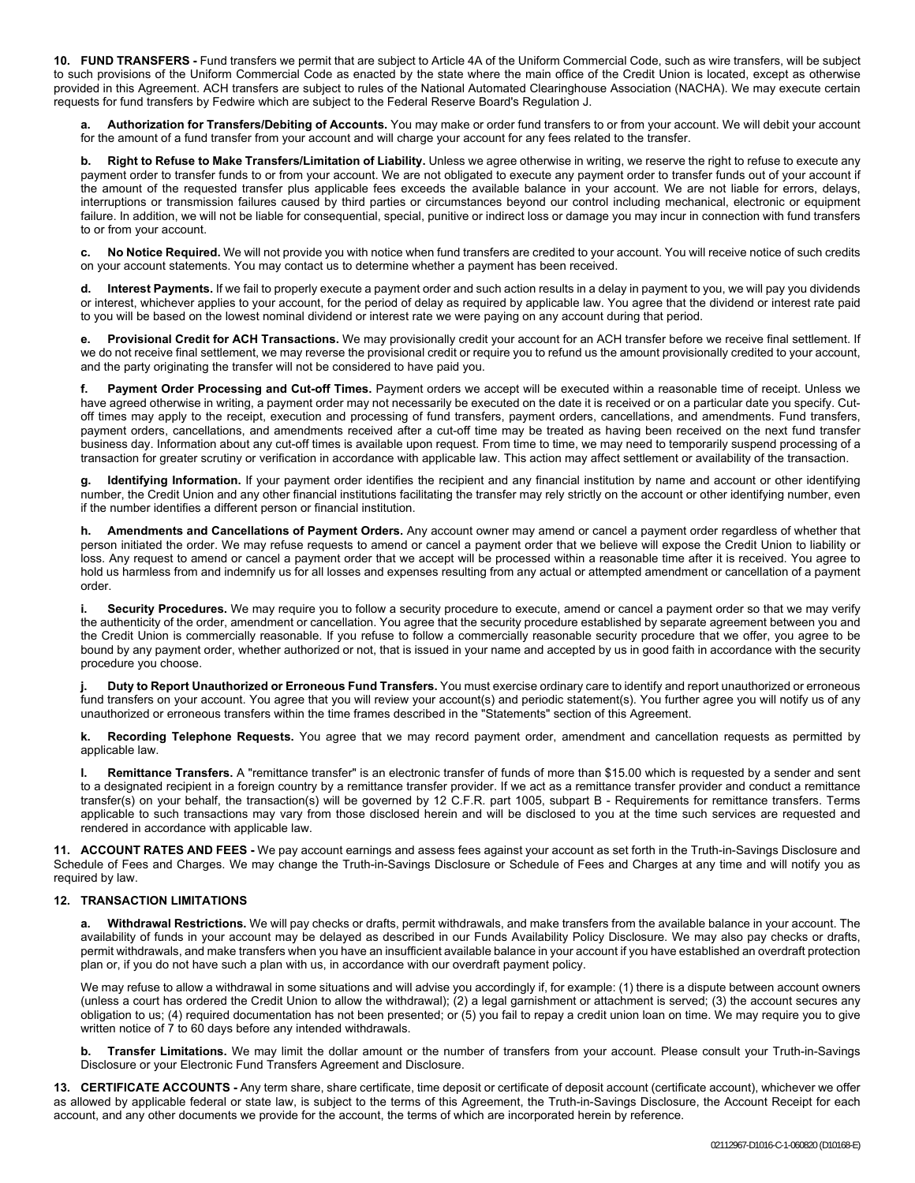**10. FUND TRANSFERS -** Fund transfers we permit that are subject to Article 4A of the Uniform Commercial Code, such as wire transfers, will be subject to such provisions of the Uniform Commercial Code as enacted by the state where the main office of the Credit Union is located, except as otherwise provided in this Agreement. ACH transfers are subject to rules of the National Automated Clearinghouse Association (NACHA). We may execute certain requests for fund transfers by Fedwire which are subject to the Federal Reserve Board's Regulation J.

Authorization for Transfers/Debiting of Accounts. You may make or order fund transfers to or from your account. We will debit your account for the amount of a fund transfer from your account and will charge your account for any fees related to the transfer.

**b. Right to Refuse to Make Transfers/Limitation of Liability.** Unless we agree otherwise in writing, we reserve the right to refuse to execute any payment order to transfer funds to or from your account. We are not obligated to execute any payment order to transfer funds out of your account if the amount of the requested transfer plus applicable fees exceeds the available balance in your account. We are not liable for errors, delays, interruptions or transmission failures caused by third parties or circumstances beyond our control including mechanical, electronic or equipment failure. In addition, we will not be liable for consequential, special, punitive or indirect loss or damage you may incur in connection with fund transfers to or from your account.

**c. No Notice Required.** We will not provide you with notice when fund transfers are credited to your account. You will receive notice of such credits on your account statements. You may contact us to determine whether a payment has been received.

**d. Interest Payments.** If we fail to properly execute a payment order and such action results in a delay in payment to you, we will pay you dividends or interest, whichever applies to your account, for the period of delay as required by applicable law. You agree that the dividend or interest rate paid to you will be based on the lowest nominal dividend or interest rate we were paying on any account during that period.

**e. Provisional Credit for ACH Transactions.** We may provisionally credit your account for an ACH transfer before we receive final settlement. If we do not receive final settlement, we may reverse the provisional credit or require you to refund us the amount provisionally credited to your account, and the party originating the transfer will not be considered to have paid you.

**f. Payment Order Processing and Cut-off Times.** Payment orders we accept will be executed within a reasonable time of receipt. Unless we have agreed otherwise in writing, a payment order may not necessarily be executed on the date it is received or on a particular date you specify. Cutoff times may apply to the receipt, execution and processing of fund transfers, payment orders, cancellations, and amendments. Fund transfers, payment orders, cancellations, and amendments received after a cut-off time may be treated as having been received on the next fund transfer business day. Information about any cut-off times is available upon request. From time to time, we may need to temporarily suspend processing of a transaction for greater scrutiny or verification in accordance with applicable law. This action may affect settlement or availability of the transaction.

**g. Identifying Information.** If your payment order identifies the recipient and any financial institution by name and account or other identifying number, the Credit Union and any other financial institutions facilitating the transfer may rely strictly on the account or other identifying number, even if the number identifies a different person or financial institution.

**h. Amendments and Cancellations of Payment Orders.** Any account owner may amend or cancel a payment order regardless of whether that person initiated the order. We may refuse requests to amend or cancel a payment order that we believe will expose the Credit Union to liability or loss. Any request to amend or cancel a payment order that we accept will be processed within a reasonable time after it is received. You agree to hold us harmless from and indemnify us for all losses and expenses resulting from any actual or attempted amendment or cancellation of a payment order.

**i. Security Procedures.** We may require you to follow a security procedure to execute, amend or cancel a payment order so that we may verify the authenticity of the order, amendment or cancellation. You agree that the security procedure established by separate agreement between you and the Credit Union is commercially reasonable. If you refuse to follow a commercially reasonable security procedure that we offer, you agree to be bound by any payment order, whether authorized or not, that is issued in your name and accepted by us in good faith in accordance with the security procedure you choose.

**j. Duty to Report Unauthorized or Erroneous Fund Transfers.** You must exercise ordinary care to identify and report unauthorized or erroneous fund transfers on your account. You agree that you will review your account(s) and periodic statement(s). You further agree you will notify us of any unauthorized or erroneous transfers within the time frames described in the "Statements" section of this Agreement.

**k. Recording Telephone Requests.** You agree that we may record payment order, amendment and cancellation requests as permitted by applicable law.

**l. Remittance Transfers.** A "remittance transfer" is an electronic transfer of funds of more than \$15.00 which is requested by a sender and sent to a designated recipient in a foreign country by a remittance transfer provider. If we act as a remittance transfer provider and conduct a remittance transfer(s) on your behalf, the transaction(s) will be governed by 12 C.F.R. part 1005, subpart B - Requirements for remittance transfers. Terms applicable to such transactions may vary from those disclosed herein and will be disclosed to you at the time such services are requested and rendered in accordance with applicable law.

**11. ACCOUNT RATES AND FEES -** We pay account earnings and assess fees against your account as set forth in the Truth-in-Savings Disclosure and Schedule of Fees and Charges. We may change the Truth-in-Savings Disclosure or Schedule of Fees and Charges at any time and will notify you as required by law.

# **12. TRANSACTION LIMITATIONS**

**a. Withdrawal Restrictions.** We will pay checks or drafts, permit withdrawals, and make transfers from the available balance in your account. The availability of funds in your account may be delayed as described in our Funds Availability Policy Disclosure. We may also pay checks or drafts, permit withdrawals, and make transfers when you have an insufficient available balance in your account if you have established an overdraft protection plan or, if you do not have such a plan with us, in accordance with our overdraft payment policy.

We may refuse to allow a withdrawal in some situations and will advise you accordingly if, for example: (1) there is a dispute between account owners (unless a court has ordered the Credit Union to allow the withdrawal); (2) a legal garnishment or attachment is served; (3) the account secures any obligation to us; (4) required documentation has not been presented; or (5) you fail to repay a credit union loan on time. We may require you to give written notice of 7 to 60 days before any intended withdrawals.

**b. Transfer Limitations.** We may limit the dollar amount or the number of transfers from your account. Please consult your Truth-in-Savings Disclosure or your Electronic Fund Transfers Agreement and Disclosure.

**13. CERTIFICATE ACCOUNTS -** Any term share, share certificate, time deposit or certificate of deposit account (certificate account), whichever we offer as allowed by applicable federal or state law, is subject to the terms of this Agreement, the Truth-in-Savings Disclosure, the Account Receipt for each account, and any other documents we provide for the account, the terms of which are incorporated herein by reference.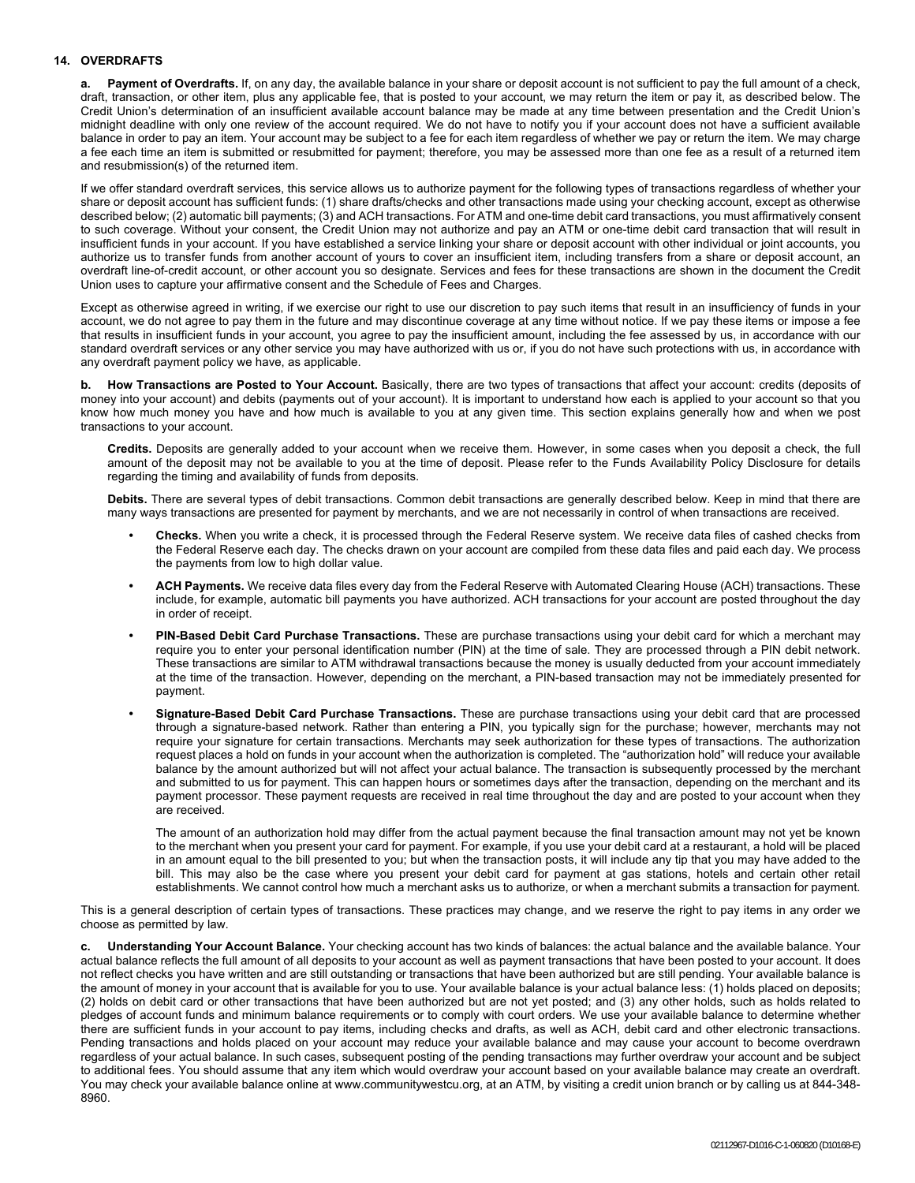# **14. OVERDRAFTS**

**a. Payment of Overdrafts.** If, on any day, the available balance in your share or deposit account is not sufficient to pay the full amount of a check, draft, transaction, or other item, plus any applicable fee, that is posted to your account, we may return the item or pay it, as described below. The Credit Union's determination of an insufficient available account balance may be made at any time between presentation and the Credit Union's midnight deadline with only one review of the account required. We do not have to notify you if your account does not have a sufficient available balance in order to pay an item. Your account may be subject to a fee for each item regardless of whether we pay or return the item. We may charge a fee each time an item is submitted or resubmitted for payment; therefore, you may be assessed more than one fee as a result of a returned item and resubmission(s) of the returned item.

If we offer standard overdraft services, this service allows us to authorize payment for the following types of transactions regardless of whether your share or deposit account has sufficient funds: (1) share drafts/checks and other transactions made using your checking account, except as otherwise described below; (2) automatic bill payments; (3) and ACH transactions. For ATM and one-time debit card transactions, you must affirmatively consent to such coverage. Without your consent, the Credit Union may not authorize and pay an ATM or one-time debit card transaction that will result in insufficient funds in your account. If you have established a service linking your share or deposit account with other individual or joint accounts, you authorize us to transfer funds from another account of yours to cover an insufficient item, including transfers from a share or deposit account, an overdraft line-of-credit account, or other account you so designate. Services and fees for these transactions are shown in the document the Credit Union uses to capture your affirmative consent and the Schedule of Fees and Charges.

Except as otherwise agreed in writing, if we exercise our right to use our discretion to pay such items that result in an insufficiency of funds in your account, we do not agree to pay them in the future and may discontinue coverage at any time without notice. If we pay these items or impose a fee that results in insufficient funds in your account, you agree to pay the insufficient amount, including the fee assessed by us, in accordance with our standard overdraft services or any other service you may have authorized with us or, if you do not have such protections with us, in accordance with any overdraft payment policy we have, as applicable.

**b. How Transactions are Posted to Your Account.** Basically, there are two types of transactions that affect your account: credits (deposits of money into your account) and debits (payments out of your account). It is important to understand how each is applied to your account so that you know how much money you have and how much is available to you at any given time. This section explains generally how and when we post transactions to your account.

**Credits.** Deposits are generally added to your account when we receive them. However, in some cases when you deposit a check, the full amount of the deposit may not be available to you at the time of deposit. Please refer to the Funds Availability Policy Disclosure for details regarding the timing and availability of funds from deposits.

**Debits.** There are several types of debit transactions. Common debit transactions are generally described below. Keep in mind that there are many ways transactions are presented for payment by merchants, and we are not necessarily in control of when transactions are received.

- **• Checks.** When you write a check, it is processed through the Federal Reserve system. We receive data files of cashed checks from the Federal Reserve each day. The checks drawn on your account are compiled from these data files and paid each day. We process the payments from low to high dollar value.
- **• ACH Payments.** We receive data files every day from the Federal Reserve with Automated Clearing House (ACH) transactions. These include, for example, automatic bill payments you have authorized. ACH transactions for your account are posted throughout the day in order of receipt.
- **• PIN-Based Debit Card Purchase Transactions.** These are purchase transactions using your debit card for which a merchant may require you to enter your personal identification number (PIN) at the time of sale. They are processed through a PIN debit network. These transactions are similar to ATM withdrawal transactions because the money is usually deducted from your account immediately at the time of the transaction. However, depending on the merchant, a PIN-based transaction may not be immediately presented for payment.
- **• Signature-Based Debit Card Purchase Transactions.** These are purchase transactions using your debit card that are processed through a signature-based network. Rather than entering a PIN, you typically sign for the purchase; however, merchants may not require your signature for certain transactions. Merchants may seek authorization for these types of transactions. The authorization request places a hold on funds in your account when the authorization is completed. The "authorization hold" will reduce your available balance by the amount authorized but will not affect your actual balance. The transaction is subsequently processed by the merchant and submitted to us for payment. This can happen hours or sometimes days after the transaction, depending on the merchant and its payment processor. These payment requests are received in real time throughout the day and are posted to your account when they are received.

The amount of an authorization hold may differ from the actual payment because the final transaction amount may not yet be known to the merchant when you present your card for payment. For example, if you use your debit card at a restaurant, a hold will be placed in an amount equal to the bill presented to you; but when the transaction posts, it will include any tip that you may have added to the bill. This may also be the case where you present your debit card for payment at gas stations, hotels and certain other retail establishments. We cannot control how much a merchant asks us to authorize, or when a merchant submits a transaction for payment.

This is a general description of certain types of transactions. These practices may change, and we reserve the right to pay items in any order we choose as permitted by law.

**c. Understanding Your Account Balance.** Your checking account has two kinds of balances: the actual balance and the available balance. Your actual balance reflects the full amount of all deposits to your account as well as payment transactions that have been posted to your account. It does not reflect checks you have written and are still outstanding or transactions that have been authorized but are still pending. Your available balance is the amount of money in your account that is available for you to use. Your available balance is your actual balance less: (1) holds placed on deposits; (2) holds on debit card or other transactions that have been authorized but are not yet posted; and (3) any other holds, such as holds related to pledges of account funds and minimum balance requirements or to comply with court orders. We use your available balance to determine whether there are sufficient funds in your account to pay items, including checks and drafts, as well as ACH, debit card and other electronic transactions. Pending transactions and holds placed on your account may reduce your available balance and may cause your account to become overdrawn regardless of your actual balance. In such cases, subsequent posting of the pending transactions may further overdraw your account and be subject to additional fees. You should assume that any item which would overdraw your account based on your available balance may create an overdraft. You may check your available balance online at www.communitywestcu.org, at an ATM, by visiting a credit union branch or by calling us at 844-348- 8960.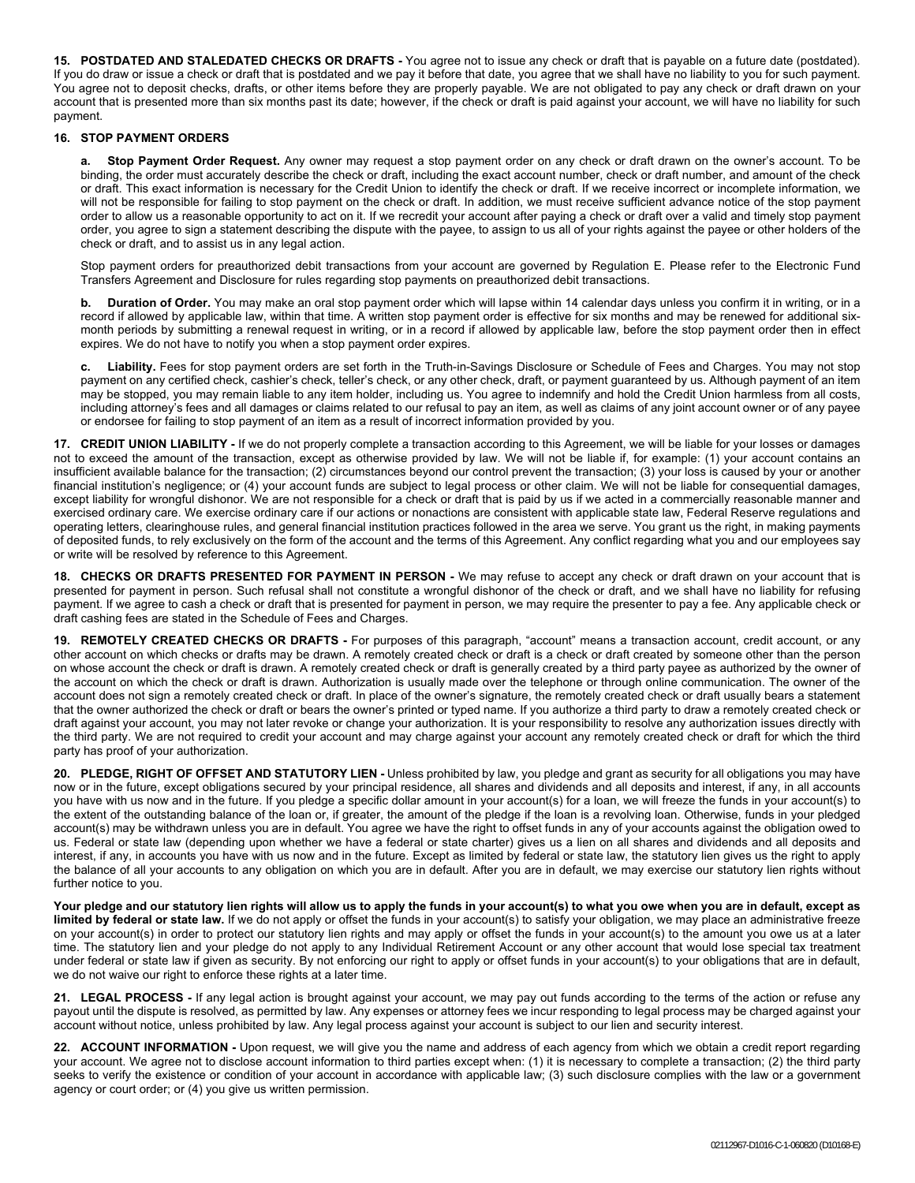**15. POSTDATED AND STALEDATED CHECKS OR DRAFTS -** You agree not to issue any check or draft that is payable on a future date (postdated). If you do draw or issue a check or draft that is postdated and we pay it before that date, you agree that we shall have no liability to you for such payment. You agree not to deposit checks, drafts, or other items before they are properly payable. We are not obligated to pay any check or draft drawn on your account that is presented more than six months past its date; however, if the check or draft is paid against your account, we will have no liability for such payment.

# **16. STOP PAYMENT ORDERS**

**a. Stop Payment Order Request.** Any owner may request a stop payment order on any check or draft drawn on the owner's account. To be binding, the order must accurately describe the check or draft, including the exact account number, check or draft number, and amount of the check or draft. This exact information is necessary for the Credit Union to identify the check or draft. If we receive incorrect or incomplete information, we will not be responsible for failing to stop payment on the check or draft. In addition, we must receive sufficient advance notice of the stop payment order to allow us a reasonable opportunity to act on it. If we recredit your account after paying a check or draft over a valid and timely stop payment order, you agree to sign a statement describing the dispute with the payee, to assign to us all of your rights against the payee or other holders of the check or draft, and to assist us in any legal action.

Stop payment orders for preauthorized debit transactions from your account are governed by Regulation E. Please refer to the Electronic Fund Transfers Agreement and Disclosure for rules regarding stop payments on preauthorized debit transactions.

**b. Duration of Order.** You may make an oral stop payment order which will lapse within 14 calendar days unless you confirm it in writing, or in a record if allowed by applicable law, within that time. A written stop payment order is effective for six months and may be renewed for additional sixmonth periods by submitting a renewal request in writing, or in a record if allowed by applicable law, before the stop payment order then in effect expires. We do not have to notify you when a stop payment order expires.

**c. Liability.** Fees for stop payment orders are set forth in the Truth-in-Savings Disclosure or Schedule of Fees and Charges. You may not stop payment on any certified check, cashier's check, teller's check, or any other check, draft, or payment guaranteed by us. Although payment of an item may be stopped, you may remain liable to any item holder, including us. You agree to indemnify and hold the Credit Union harmless from all costs, including attorney's fees and all damages or claims related to our refusal to pay an item, as well as claims of any joint account owner or of any payee or endorsee for failing to stop payment of an item as a result of incorrect information provided by you.

**17. CREDIT UNION LIABILITY -** If we do not properly complete a transaction according to this Agreement, we will be liable for your losses or damages not to exceed the amount of the transaction, except as otherwise provided by law. We will not be liable if, for example: (1) your account contains an insufficient available balance for the transaction; (2) circumstances beyond our control prevent the transaction; (3) your loss is caused by your or another financial institution's negligence; or (4) your account funds are subject to legal process or other claim. We will not be liable for consequential damages, except liability for wrongful dishonor. We are not responsible for a check or draft that is paid by us if we acted in a commercially reasonable manner and exercised ordinary care. We exercise ordinary care if our actions or nonactions are consistent with applicable state law, Federal Reserve regulations and operating letters, clearinghouse rules, and general financial institution practices followed in the area we serve. You grant us the right, in making payments of deposited funds, to rely exclusively on the form of the account and the terms of this Agreement. Any conflict regarding what you and our employees say or write will be resolved by reference to this Agreement.

**18. CHECKS OR DRAFTS PRESENTED FOR PAYMENT IN PERSON -** We may refuse to accept any check or draft drawn on your account that is presented for payment in person. Such refusal shall not constitute a wrongful dishonor of the check or draft, and we shall have no liability for refusing payment. If we agree to cash a check or draft that is presented for payment in person, we may require the presenter to pay a fee. Any applicable check or draft cashing fees are stated in the Schedule of Fees and Charges.

**19. REMOTELY CREATED CHECKS OR DRAFTS -** For purposes of this paragraph, "account" means a transaction account, credit account, or any other account on which checks or drafts may be drawn. A remotely created check or draft is a check or draft created by someone other than the person on whose account the check or draft is drawn. A remotely created check or draft is generally created by a third party payee as authorized by the owner of the account on which the check or draft is drawn. Authorization is usually made over the telephone or through online communication. The owner of the account does not sign a remotely created check or draft. In place of the owner's signature, the remotely created check or draft usually bears a statement that the owner authorized the check or draft or bears the owner's printed or typed name. If you authorize a third party to draw a remotely created check or draft against your account, you may not later revoke or change your authorization. It is your responsibility to resolve any authorization issues directly with the third party. We are not required to credit your account and may charge against your account any remotely created check or draft for which the third party has proof of your authorization.

**20. PLEDGE, RIGHT OF OFFSET AND STATUTORY LIEN -** Unless prohibited by law, you pledge and grant as security for all obligations you may have now or in the future, except obligations secured by your principal residence, all shares and dividends and all deposits and interest, if any, in all accounts you have with us now and in the future. If you pledge a specific dollar amount in your account(s) for a loan, we will freeze the funds in your account(s) to the extent of the outstanding balance of the loan or, if greater, the amount of the pledge if the loan is a revolving loan. Otherwise, funds in your pledged account(s) may be withdrawn unless you are in default. You agree we have the right to offset funds in any of your accounts against the obligation owed to us. Federal or state law (depending upon whether we have a federal or state charter) gives us a lien on all shares and dividends and all deposits and interest, if any, in accounts you have with us now and in the future. Except as limited by federal or state law, the statutory lien gives us the right to apply the balance of all your accounts to any obligation on which you are in default. After you are in default, we may exercise our statutory lien rights without further notice to you.

**Your pledge and our statutory lien rights will allow us to apply the funds in your account(s) to what you owe when you are in default, except as limited by federal or state law.** If we do not apply or offset the funds in your account(s) to satisfy your obligation, we may place an administrative freeze on your account(s) in order to protect our statutory lien rights and may apply or offset the funds in your account(s) to the amount you owe us at a later time. The statutory lien and your pledge do not apply to any Individual Retirement Account or any other account that would lose special tax treatment under federal or state law if given as security. By not enforcing our right to apply or offset funds in your account(s) to your obligations that are in default, we do not waive our right to enforce these rights at a later time.

**21. LEGAL PROCESS -** If any legal action is brought against your account, we may pay out funds according to the terms of the action or refuse any payout until the dispute is resolved, as permitted by law. Any expenses or attorney fees we incur responding to legal process may be charged against your account without notice, unless prohibited by law. Any legal process against your account is subject to our lien and security interest.

**22. ACCOUNT INFORMATION -** Upon request, we will give you the name and address of each agency from which we obtain a credit report regarding your account. We agree not to disclose account information to third parties except when: (1) it is necessary to complete a transaction; (2) the third party seeks to verify the existence or condition of your account in accordance with applicable law; (3) such disclosure complies with the law or a government agency or court order; or (4) you give us written permission.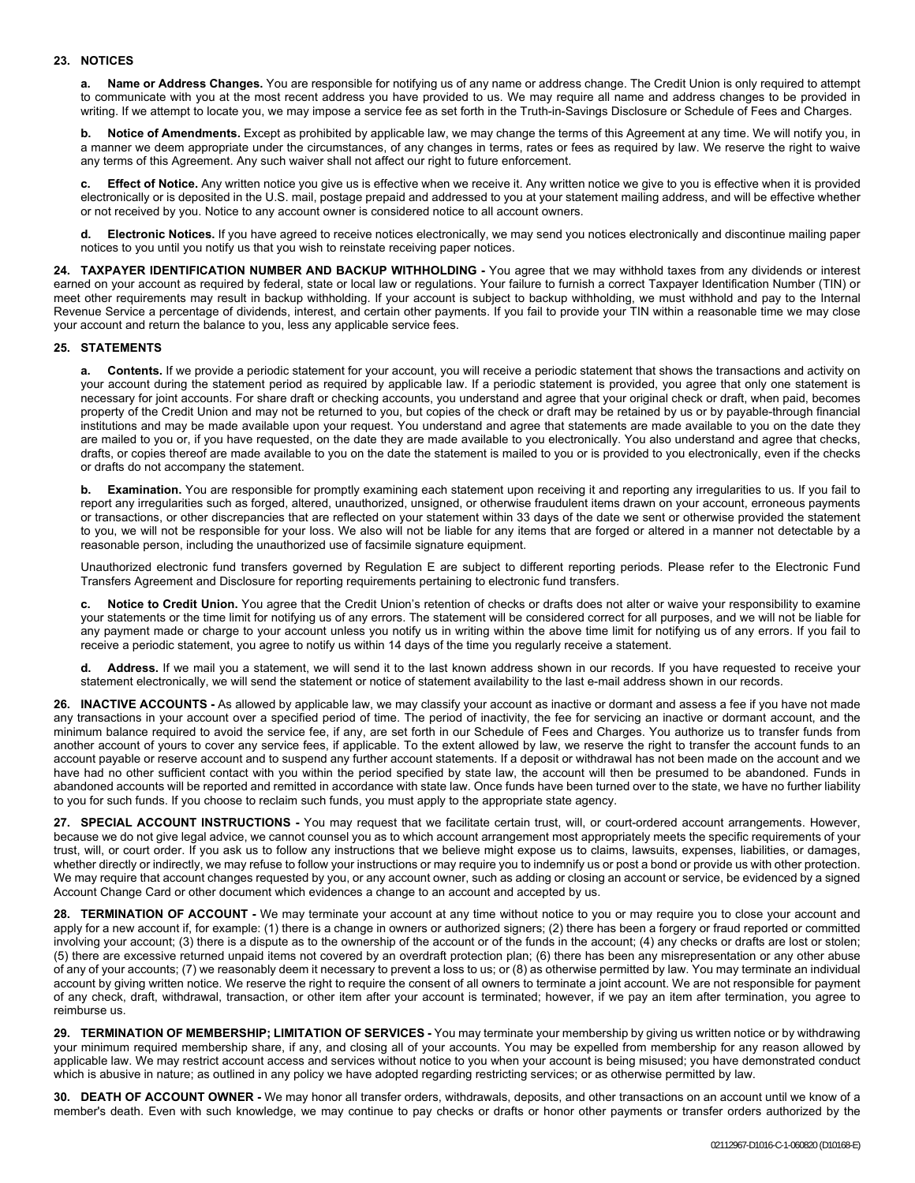# **23. NOTICES**

**a. Name or Address Changes.** You are responsible for notifying us of any name or address change. The Credit Union is only required to attempt to communicate with you at the most recent address you have provided to us. We may require all name and address changes to be provided in writing. If we attempt to locate you, we may impose a service fee as set forth in the Truth-in-Savings Disclosure or Schedule of Fees and Charges.

**b. Notice of Amendments.** Except as prohibited by applicable law, we may change the terms of this Agreement at any time. We will notify you, in a manner we deem appropriate under the circumstances, of any changes in terms, rates or fees as required by law. We reserve the right to waive any terms of this Agreement. Any such waiver shall not affect our right to future enforcement.

**c. Effect of Notice.** Any written notice you give us is effective when we receive it. Any written notice we give to you is effective when it is provided electronically or is deposited in the U.S. mail, postage prepaid and addressed to you at your statement mailing address, and will be effective whether or not received by you. Notice to any account owner is considered notice to all account owners.

**d. Electronic Notices.** If you have agreed to receive notices electronically, we may send you notices electronically and discontinue mailing paper notices to you until you notify us that you wish to reinstate receiving paper notices.

**24. TAXPAYER IDENTIFICATION NUMBER AND BACKUP WITHHOLDING -** You agree that we may withhold taxes from any dividends or interest earned on your account as required by federal, state or local law or regulations. Your failure to furnish a correct Taxpayer Identification Number (TIN) or meet other requirements may result in backup withholding. If your account is subject to backup withholding, we must withhold and pay to the Internal Revenue Service a percentage of dividends, interest, and certain other payments. If you fail to provide your TIN within a reasonable time we may close your account and return the balance to you, less any applicable service fees.

# **25. STATEMENTS**

**a. Contents.** If we provide a periodic statement for your account, you will receive a periodic statement that shows the transactions and activity on your account during the statement period as required by applicable law. If a periodic statement is provided, you agree that only one statement is necessary for joint accounts. For share draft or checking accounts, you understand and agree that your original check or draft, when paid, becomes property of the Credit Union and may not be returned to you, but copies of the check or draft may be retained by us or by payable-through financial institutions and may be made available upon your request. You understand and agree that statements are made available to you on the date they are mailed to you or, if you have requested, on the date they are made available to you electronically. You also understand and agree that checks, drafts, or copies thereof are made available to you on the date the statement is mailed to you or is provided to you electronically, even if the checks or drafts do not accompany the statement.

**b. Examination.** You are responsible for promptly examining each statement upon receiving it and reporting any irregularities to us. If you fail to report any irregularities such as forged, altered, unauthorized, unsigned, or otherwise fraudulent items drawn on your account, erroneous payments or transactions, or other discrepancies that are reflected on your statement within 33 days of the date we sent or otherwise provided the statement to you, we will not be responsible for your loss. We also will not be liable for any items that are forged or altered in a manner not detectable by a reasonable person, including the unauthorized use of facsimile signature equipment.

Unauthorized electronic fund transfers governed by Regulation E are subject to different reporting periods. Please refer to the Electronic Fund Transfers Agreement and Disclosure for reporting requirements pertaining to electronic fund transfers.

**c. Notice to Credit Union.** You agree that the Credit Union's retention of checks or drafts does not alter or waive your responsibility to examine your statements or the time limit for notifying us of any errors. The statement will be considered correct for all purposes, and we will not be liable for any payment made or charge to your account unless you notify us in writing within the above time limit for notifying us of any errors. If you fail to receive a periodic statement, you agree to notify us within 14 days of the time you regularly receive a statement.

**d. Address.** If we mail you a statement, we will send it to the last known address shown in our records. If you have requested to receive your statement electronically, we will send the statement or notice of statement availability to the last e-mail address shown in our records.

**26. INACTIVE ACCOUNTS -** As allowed by applicable law, we may classify your account as inactive or dormant and assess a fee if you have not made any transactions in your account over a specified period of time. The period of inactivity, the fee for servicing an inactive or dormant account, and the minimum balance required to avoid the service fee, if any, are set forth in our Schedule of Fees and Charges. You authorize us to transfer funds from another account of yours to cover any service fees, if applicable. To the extent allowed by law, we reserve the right to transfer the account funds to an account payable or reserve account and to suspend any further account statements. If a deposit or withdrawal has not been made on the account and we have had no other sufficient contact with you within the period specified by state law, the account will then be presumed to be abandoned. Funds in abandoned accounts will be reported and remitted in accordance with state law. Once funds have been turned over to the state, we have no further liability to you for such funds. If you choose to reclaim such funds, you must apply to the appropriate state agency.

**27. SPECIAL ACCOUNT INSTRUCTIONS -** You may request that we facilitate certain trust, will, or court-ordered account arrangements. However, because we do not give legal advice, we cannot counsel you as to which account arrangement most appropriately meets the specific requirements of your trust, will, or court order. If you ask us to follow any instructions that we believe might expose us to claims, lawsuits, expenses, liabilities, or damages, whether directly or indirectly, we may refuse to follow your instructions or may require you to indemnify us or post a bond or provide us with other protection. We may require that account changes requested by you, or any account owner, such as adding or closing an account or service, be evidenced by a signed Account Change Card or other document which evidences a change to an account and accepted by us.

**28. TERMINATION OF ACCOUNT -** We may terminate your account at any time without notice to you or may require you to close your account and apply for a new account if, for example: (1) there is a change in owners or authorized signers; (2) there has been a forgery or fraud reported or committed involving your account; (3) there is a dispute as to the ownership of the account or of the funds in the account; (4) any checks or drafts are lost or stolen; (5) there are excessive returned unpaid items not covered by an overdraft protection plan; (6) there has been any misrepresentation or any other abuse of any of your accounts; (7) we reasonably deem it necessary to prevent a loss to us; or (8) as otherwise permitted by law. You may terminate an individual account by giving written notice. We reserve the right to require the consent of all owners to terminate a joint account. We are not responsible for payment of any check, draft, withdrawal, transaction, or other item after your account is terminated; however, if we pay an item after termination, you agree to reimburse us.

**29. TERMINATION OF MEMBERSHIP; LIMITATION OF SERVICES -** You may terminate your membership by giving us written notice or by withdrawing your minimum required membership share, if any, and closing all of your accounts. You may be expelled from membership for any reason allowed by applicable law. We may restrict account access and services without notice to you when your account is being misused; you have demonstrated conduct which is abusive in nature; as outlined in any policy we have adopted regarding restricting services; or as otherwise permitted by law.

**30. DEATH OF ACCOUNT OWNER -** We may honor all transfer orders, withdrawals, deposits, and other transactions on an account until we know of a member's death. Even with such knowledge, we may continue to pay checks or drafts or honor other payments or transfer orders authorized by the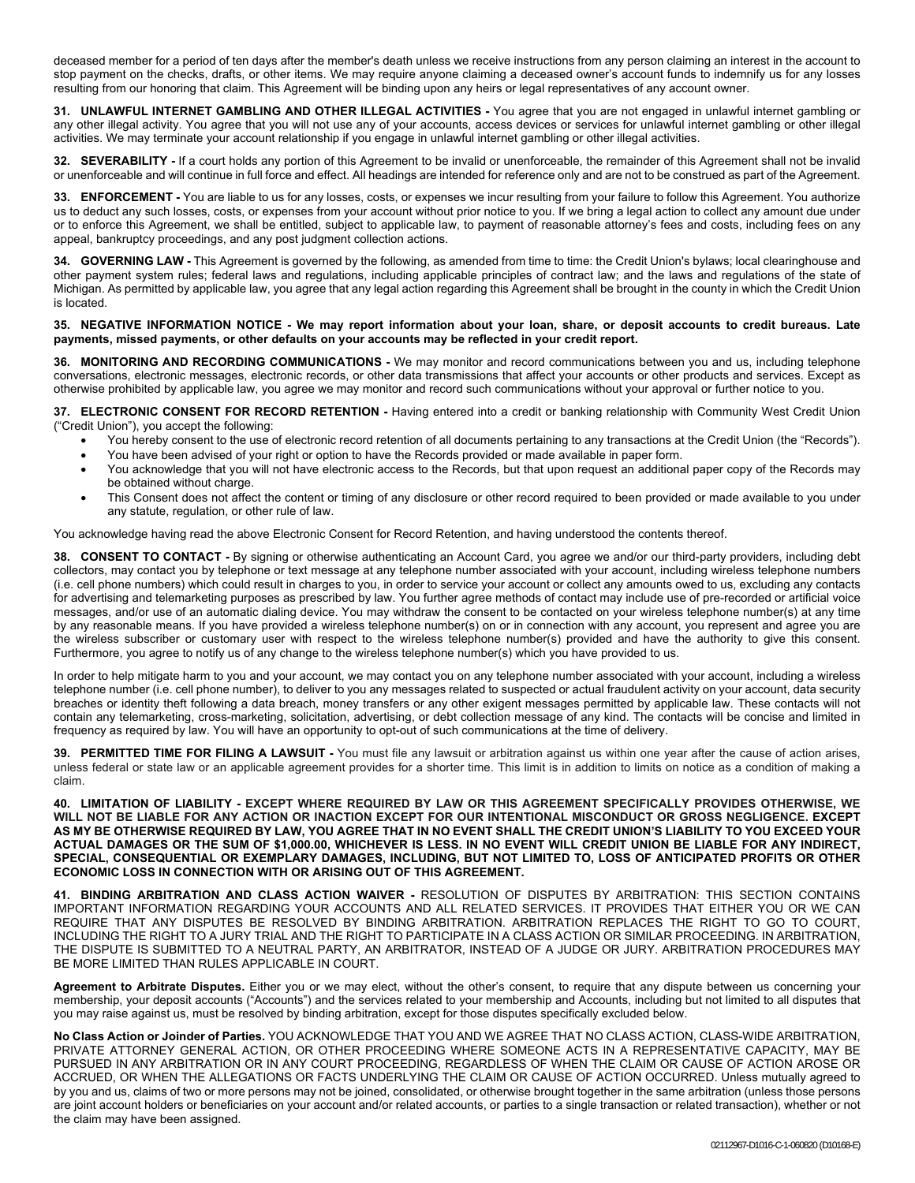deceased member for a period of ten days after the member's death unless we receive instructions from any person claiming an interest in the account to stop payment on the checks, drafts, or other items. We may require anyone claiming a deceased owner's account funds to indemnify us for any losses resulting from our honoring that claim. This Agreement will be binding upon any heirs or legal representatives of any account owner.

**31. UNLAWFUL INTERNET GAMBLING AND OTHER ILLEGAL ACTIVITIES -** You agree that you are not engaged in unlawful internet gambling or any other illegal activity. You agree that you will not use any of your accounts, access devices or services for unlawful internet gambling or other illegal activities. We may terminate your account relationship if you engage in unlawful internet gambling or other illegal activities.

**32. SEVERABILITY -** If a court holds any portion of this Agreement to be invalid or unenforceable, the remainder of this Agreement shall not be invalid or unenforceable and will continue in full force and effect. All headings are intended for reference only and are not to be construed as part of the Agreement.

**33. ENFORCEMENT -** You are liable to us for any losses, costs, or expenses we incur resulting from your failure to follow this Agreement. You authorize us to deduct any such losses, costs, or expenses from your account without prior notice to you. If we bring a legal action to collect any amount due under or to enforce this Agreement, we shall be entitled, subject to applicable law, to payment of reasonable attorney's fees and costs, including fees on any appeal, bankruptcy proceedings, and any post judgment collection actions.

**34. GOVERNING LAW -** This Agreement is governed by the following, as amended from time to time: the Credit Union's bylaws; local clearinghouse and other payment system rules; federal laws and regulations, including applicable principles of contract law; and the laws and regulations of the state of Michigan. As permitted by applicable law, you agree that any legal action regarding this Agreement shall be brought in the county in which the Credit Union is located.

# **35. NEGATIVE INFORMATION NOTICE - We may report information about your loan, share, or deposit accounts to credit bureaus. Late payments, missed payments, or other defaults on your accounts may be reflected in your credit report.**

**36. MONITORING AND RECORDING COMMUNICATIONS -** We may monitor and record communications between you and us, including telephone conversations, electronic messages, electronic records, or other data transmissions that affect your accounts or other products and services. Except as otherwise prohibited by applicable law, you agree we may monitor and record such communications without your approval or further notice to you.

**37. ELECTRONIC CONSENT FOR RECORD RETENTION -** Having entered into a credit or banking relationship with Community West Credit Union ("Credit Union"), you accept the following:

- You hereby consent to the use of electronic record retention of all documents pertaining to any transactions at the Credit Union (the "Records").
- You have been advised of your right or option to have the Records provided or made available in paper form.
- You acknowledge that you will not have electronic access to the Records, but that upon request an additional paper copy of the Records may be obtained without charge.
- This Consent does not affect the content or timing of any disclosure or other record required to been provided or made available to you under any statute, regulation, or other rule of law.

You acknowledge having read the above Electronic Consent for Record Retention, and having understood the contents thereof.

**38. CONSENT TO CONTACT -** By signing or otherwise authenticating an Account Card, you agree we and/or our third-party providers, including debt collectors, may contact you by telephone or text message at any telephone number associated with your account, including wireless telephone numbers (i.e. cell phone numbers) which could result in charges to you, in order to service your account or collect any amounts owed to us, excluding any contacts for advertising and telemarketing purposes as prescribed by law. You further agree methods of contact may include use of pre-recorded or artificial voice messages, and/or use of an automatic dialing device. You may withdraw the consent to be contacted on your wireless telephone number(s) at any time by any reasonable means. If you have provided a wireless telephone number(s) on or in connection with any account, you represent and agree you are the wireless subscriber or customary user with respect to the wireless telephone number(s) provided and have the authority to give this consent. Furthermore, you agree to notify us of any change to the wireless telephone number(s) which you have provided to us.

In order to help mitigate harm to you and your account, we may contact you on any telephone number associated with your account, including a wireless telephone number (i.e. cell phone number), to deliver to you any messages related to suspected or actual fraudulent activity on your account, data security breaches or identity theft following a data breach, money transfers or any other exigent messages permitted by applicable law. These contacts will not contain any telemarketing, cross-marketing, solicitation, advertising, or debt collection message of any kind. The contacts will be concise and limited in frequency as required by law. You will have an opportunity to opt-out of such communications at the time of delivery.

**39. PERMITTED TIME FOR FILING A LAWSUIT -** You must file any lawsuit or arbitration against us within one year after the cause of action arises, unless federal or state law or an applicable agreement provides for a shorter time. This limit is in addition to limits on notice as a condition of making a claim.

**40. LIMITATION OF LIABILITY - EXCEPT WHERE REQUIRED BY LAW OR THIS AGREEMENT SPECIFICALLY PROVIDES OTHERWISE, WE WILL NOT BE LIABLE FOR ANY ACTION OR INACTION EXCEPT FOR OUR INTENTIONAL MISCONDUCT OR GROSS NEGLIGENCE. EXCEPT AS MY BE OTHERWISE REQUIRED BY LAW, YOU AGREE THAT IN NO EVENT SHALL THE CREDIT UNION'S LIABILITY TO YOU EXCEED YOUR ACTUAL DAMAGES OR THE SUM OF \$1,000.00, WHICHEVER IS LESS. IN NO EVENT WILL CREDIT UNION BE LIABLE FOR ANY INDIRECT, SPECIAL, CONSEQUENTIAL OR EXEMPLARY DAMAGES, INCLUDING, BUT NOT LIMITED TO, LOSS OF ANTICIPATED PROFITS OR OTHER ECONOMIC LOSS IN CONNECTION WITH OR ARISING OUT OF THIS AGREEMENT.**

**41. BINDING ARBITRATION AND CLASS ACTION WAIVER -** RESOLUTION OF DISPUTES BY ARBITRATION: THIS SECTION CONTAINS IMPORTANT INFORMATION REGARDING YOUR ACCOUNTS AND ALL RELATED SERVICES. IT PROVIDES THAT EITHER YOU OR WE CAN REQUIRE THAT ANY DISPUTES BE RESOLVED BY BINDING ARBITRATION. ARBITRATION REPLACES THE RIGHT TO GO TO COURT, INCLUDING THE RIGHT TO A JURY TRIAL AND THE RIGHT TO PARTICIPATE IN A CLASS ACTION OR SIMILAR PROCEEDING. IN ARBITRATION, THE DISPUTE IS SUBMITTED TO A NEUTRAL PARTY, AN ARBITRATOR, INSTEAD OF A JUDGE OR JURY. ARBITRATION PROCEDURES MAY BE MORE LIMITED THAN RULES APPLICABLE IN COURT.

**Agreement to Arbitrate Disputes.** Either you or we may elect, without the other's consent, to require that any dispute between us concerning your membership, your deposit accounts ("Accounts") and the services related to your membership and Accounts, including but not limited to all disputes that you may raise against us, must be resolved by binding arbitration, except for those disputes specifically excluded below.

**No Class Action or Joinder of Parties.** YOU ACKNOWLEDGE THAT YOU AND WE AGREE THAT NO CLASS ACTION, CLASS-WIDE ARBITRATION, PRIVATE ATTORNEY GENERAL ACTION, OR OTHER PROCEEDING WHERE SOMEONE ACTS IN A REPRESENTATIVE CAPACITY, MAY BE PURSUED IN ANY ARBITRATION OR IN ANY COURT PROCEEDING, REGARDLESS OF WHEN THE CLAIM OR CAUSE OF ACTION AROSE OR ACCRUED, OR WHEN THE ALLEGATIONS OR FACTS UNDERLYING THE CLAIM OR CAUSE OF ACTION OCCURRED. Unless mutually agreed to by you and us, claims of two or more persons may not be joined, consolidated, or otherwise brought together in the same arbitration (unless those persons are joint account holders or beneficiaries on your account and/or related accounts, or parties to a single transaction or related transaction), whether or not the claim may have been assigned.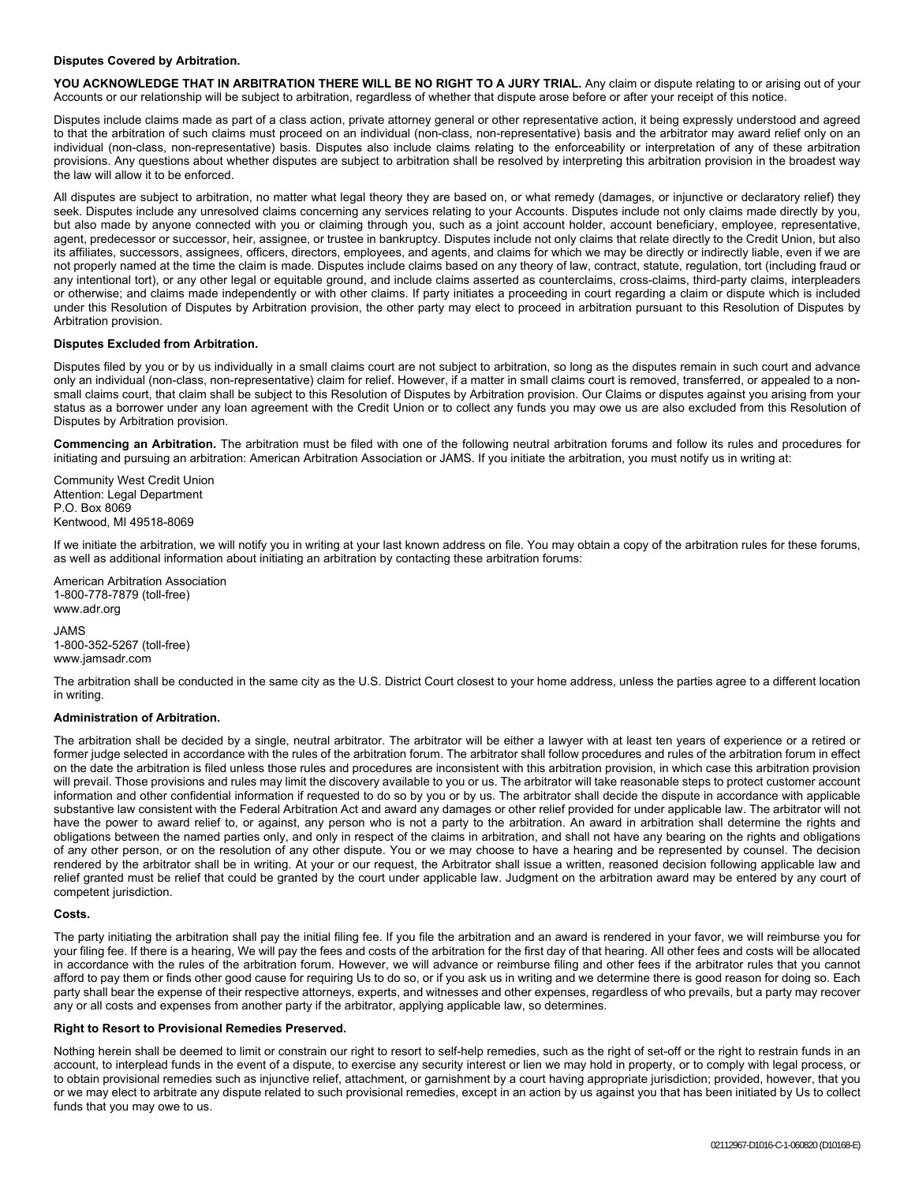#### **Disputes Covered by Arbitration.**

YOU ACKNOWLEDGE THAT IN ARBITRATION THERE WILL BE NO RIGHT TO A JURY TRIAL. Any claim or dispute relating to or arising out of your Accounts or our relationship will be subject to arbitration, regardless of whether that dispute arose before or after your receipt of this notice.

Disputes include claims made as part of a class action, private attorney general or other representative action, it being expressly understood and agreed to that the arbitration of such claims must proceed on an individual (non-class, non-representative) basis and the arbitrator may award relief only on an individual (non-class, non-representative) basis. Disputes also include claims relating to the enforceability or interpretation of any of these arbitration provisions. Any questions about whether disputes are subject to arbitration shall be resolved by interpreting this arbitration provision in the broadest way the law will allow it to be enforced.

All disputes are subject to arbitration, no matter what legal theory they are based on, or what remedy (damages, or injunctive or declaratory relief) they seek. Disputes include any unresolved claims concerning any services relating to your Accounts. Disputes include not only claims made directly by you, but also made by anyone connected with you or claiming through you, such as a joint account holder, account beneficiary, employee, representative, agent, predecessor or successor, heir, assignee, or trustee in bankruptcy. Disputes include not only claims that relate directly to the Credit Union, but also its affiliates, successors, assignees, officers, directors, employees, and agents, and claims for which we may be directly or indirectly liable, even if we are not properly named at the time the claim is made. Disputes include claims based on any theory of law, contract, statute, regulation, tort (including fraud or any intentional tort), or any other legal or equitable ground, and include claims asserted as counterclaims, cross-claims, third-party claims, interpleaders or otherwise; and claims made independently or with other claims. If party initiates a proceeding in court regarding a claim or dispute which is included under this Resolution of Disputes by Arbitration provision, the other party may elect to proceed in arbitration pursuant to this Resolution of Disputes by Arbitration provision.

#### **Disputes Excluded from Arbitration.**

Disputes filed by you or by us individually in a small claims court are not subject to arbitration, so long as the disputes remain in such court and advance only an individual (non-class, non-representative) claim for relief. However, if a matter in small claims court is removed, transferred, or appealed to a nonsmall claims court, that claim shall be subject to this Resolution of Disputes by Arbitration provision. Our Claims or disputes against you arising from your status as a borrower under any loan agreement with the Credit Union or to collect any funds you may owe us are also excluded from this Resolution of Disputes by Arbitration provision.

**Commencing an Arbitration.** The arbitration must be filed with one of the following neutral arbitration forums and follow its rules and procedures for initiating and pursuing an arbitration: American Arbitration Association or JAMS. If you initiate the arbitration, you must notify us in writing at:

Community West Credit Union Attention: Legal Department P.O. Box 8069 Kentwood, MI 49518-8069

If we initiate the arbitration, we will notify you in writing at your last known address on file. You may obtain a copy of the arbitration rules for these forums, as well as additional information about initiating an arbitration by contacting these arbitration forums:

American Arbitration Association 1-800-778-7879 (toll-free) www.adr.org

JAMS 1-800-352-5267 (toll-free) www.jamsadr.com

The arbitration shall be conducted in the same city as the U.S. District Court closest to your home address, unless the parties agree to a different location in writing.

#### **Administration of Arbitration.**

The arbitration shall be decided by a single, neutral arbitrator. The arbitrator will be either a lawyer with at least ten years of experience or a retired or former judge selected in accordance with the rules of the arbitration forum. The arbitrator shall follow procedures and rules of the arbitration forum in effect on the date the arbitration is filed unless those rules and procedures are inconsistent with this arbitration provision, in which case this arbitration provision will prevail. Those provisions and rules may limit the discovery available to you or us. The arbitrator will take reasonable steps to protect customer account information and other confidential information if requested to do so by you or by us. The arbitrator shall decide the dispute in accordance with applicable substantive law consistent with the Federal Arbitration Act and award any damages or other relief provided for under applicable law. The arbitrator will not have the power to award relief to, or against, any person who is not a party to the arbitration. An award in arbitration shall determine the rights and obligations between the named parties only, and only in respect of the claims in arbitration, and shall not have any bearing on the rights and obligations of any other person, or on the resolution of any other dispute. You or we may choose to have a hearing and be represented by counsel. The decision rendered by the arbitrator shall be in writing. At your or our request, the Arbitrator shall issue a written, reasoned decision following applicable law and relief granted must be relief that could be granted by the court under applicable law. Judgment on the arbitration award may be entered by any court of competent jurisdiction.

#### **Costs.**

The party initiating the arbitration shall pay the initial filing fee. If you file the arbitration and an award is rendered in your favor, we will reimburse you for your filing fee. If there is a hearing, We will pay the fees and costs of the arbitration for the first day of that hearing. All other fees and costs will be allocated in accordance with the rules of the arbitration forum. However, we will advance or reimburse filing and other fees if the arbitrator rules that you cannot afford to pay them or finds other good cause for requiring Us to do so, or if you ask us in writing and we determine there is good reason for doing so. Each party shall bear the expense of their respective attorneys, experts, and witnesses and other expenses, regardless of who prevails, but a party may recover any or all costs and expenses from another party if the arbitrator, applying applicable law, so determines.

#### **Right to Resort to Provisional Remedies Preserved.**

Nothing herein shall be deemed to limit or constrain our right to resort to self-help remedies, such as the right of set-off or the right to restrain funds in an account, to interplead funds in the event of a dispute, to exercise any security interest or lien we may hold in property, or to comply with legal process, or to obtain provisional remedies such as injunctive relief, attachment, or garnishment by a court having appropriate jurisdiction; provided, however, that you or we may elect to arbitrate any dispute related to such provisional remedies, except in an action by us against you that has been initiated by Us to collect funds that you may owe to us.